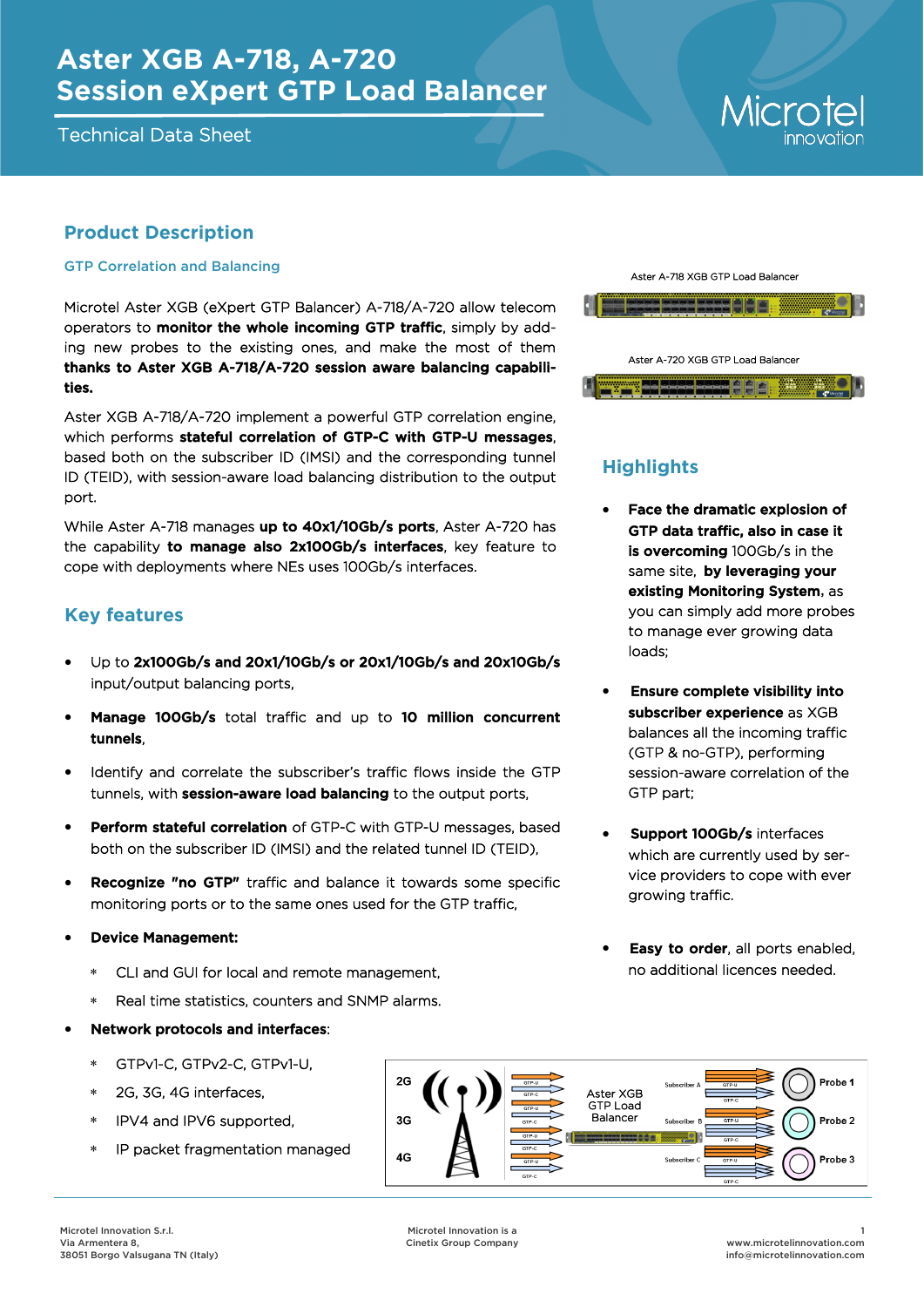# **Aster XGB A-718, A-720 Session eXpert GTP Load Balancer**

Technical Data Sheet

# Microte

### **Product Description**

#### GTP Correlation and Balancing

Microtel Aster XGB (eXpert GTP Balancer) A-718/A-720 allow telecom operators to monitor the whole incoming GTP traffic, simply by adding new probes to the existing ones, and make the most of them thanks to Aster XGB A-718/A-720 session aware balancing capabilities.

Aster XGB A-718/A-720 implement a powerful GTP correlation engine, which performs stateful correlation of GTP-C with GTP-U messages. based both on the subscriber ID (IMSI) and the corresponding tunnel ID (TEID), with session-aware load balancing distribution to the output port.

While Aster A-718 manages up to 40x1/10Gb/s ports, Aster A-720 has the capability to manage also 2x100Gb/s interfaces, key feature to cope with deployments where NEs uses 100Gb/s interfaces.

#### **Key features**

- Up to 2x100Gb/s and 20x1/10Gb/s or 20x1/10Gb/s and 20x10Gb/s input/output balancing ports,
- Manage 100Gb/s total traffic and up to 10 million concurrent tunnels,
- Identify and correlate the subscriber's traffic flows inside the GTP tunnels, with **session-aware load balancing** to the output ports,
- **Perform stateful correlation** of GTP-C with GTP-U messages, based both on the subscriber ID (IMSI) and the related tunnel ID (TEID),
- **Recognize "no GTP"** traffic and balance it towards some specific monitoring ports or to the same ones used for the GTP traffic,
- Device Management:
	- CLI and GUI for local and remote management,
	- Real time statistics, counters and SNMP alarms.
- Network protocols and interfaces:
	- GTPv1-C, GTPv2-C, GTPv1-U,
	- 2G, 3G, 4G interfaces,
	- IPV4 and IPV6 supported,
	- IP packet fragmentation managed



## **Highlights**

- Face the dramatic explosion of GTP data traffic, also in case it is overcoming 100Gb/s in the same site. by leveraging your existing Monitoring System, as you can simply add more probes to manage ever growing data loads;
- Ensure complete visibility into subscriber experience as XGB balances all the incoming traffic (GTP & no-GTP), performing session-aware correlation of the GTP part;
- Support 100Gb/s interfaces which are currently used by service providers to cope with ever growing traffic.
- Easy to order, all ports enabled, no additional licences needed.

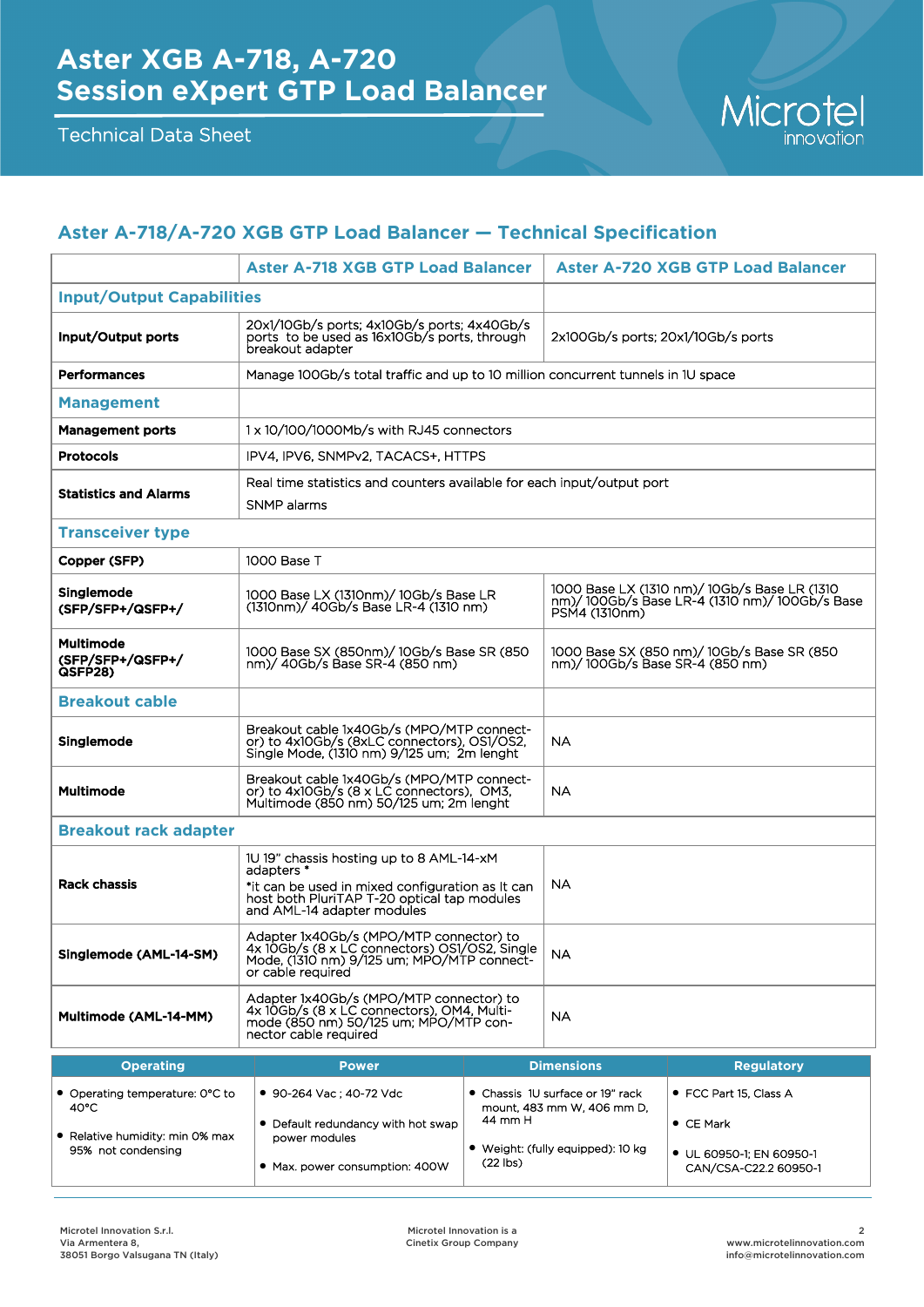

# **Aster A-718/A-720 XGB GTP Load Balancer — Technical Specification**

|                                                                                                            | <b>Aster A-718 XGB GTP Load Balancer</b>                                                                                                                                                |                       | <b>Aster A-720 XGB GTP Load Balancer</b>                                                                      |                                                                                                  |  |
|------------------------------------------------------------------------------------------------------------|-----------------------------------------------------------------------------------------------------------------------------------------------------------------------------------------|-----------------------|---------------------------------------------------------------------------------------------------------------|--------------------------------------------------------------------------------------------------|--|
| <b>Input/Output Capabilities</b>                                                                           |                                                                                                                                                                                         |                       |                                                                                                               |                                                                                                  |  |
| Input/Output ports                                                                                         | 20x1/10Gb/s ports; 4x10Gb/s ports; 4x40Gb/s<br>ports to be used as 16x10Gb/s ports, through<br>breakout adapter                                                                         |                       | 2x100Gb/s ports: 20x1/10Gb/s ports                                                                            |                                                                                                  |  |
| <b>Performances</b>                                                                                        | Manage 100Gb/s total traffic and up to 10 million concurrent tunnels in 1U space                                                                                                        |                       |                                                                                                               |                                                                                                  |  |
| <b>Management</b>                                                                                          |                                                                                                                                                                                         |                       |                                                                                                               |                                                                                                  |  |
| <b>Management ports</b>                                                                                    | 1 x 10/100/1000Mb/s with RJ45 connectors                                                                                                                                                |                       |                                                                                                               |                                                                                                  |  |
| <b>Protocols</b>                                                                                           | IPV4, IPV6, SNMPv2, TACACS+, HTTPS                                                                                                                                                      |                       |                                                                                                               |                                                                                                  |  |
| <b>Statistics and Alarms</b>                                                                               | Real time statistics and counters available for each input/output port<br>SNMP alarms                                                                                                   |                       |                                                                                                               |                                                                                                  |  |
| <b>Transceiver type</b>                                                                                    |                                                                                                                                                                                         |                       |                                                                                                               |                                                                                                  |  |
| Copper (SFP)                                                                                               | 1000 Base T                                                                                                                                                                             |                       |                                                                                                               |                                                                                                  |  |
| Singlemode<br>(SFP/SFP+/QSFP+/                                                                             | 1000 Base LX (1310nm)/ 10Gb/s Base LR<br>(1310nm)/ 40Gb/s Base LR-4 (1310 nm)                                                                                                           |                       | 1000 Base LX (1310 nm)/ 10Gb/s Base LR (1310<br>nm)/100Gb/s Base LR-4 (1310 nm)/100Gb/s Base<br>PSM4 (1310nm) |                                                                                                  |  |
| <b>Multimode</b><br>(SFP/SFP+/QSFP+/<br>QSFP28)                                                            | 1000 Base SX (850nm)/ 10Gb/s Base SR (850<br>nm)/ 40Gb/s Base SR-4 (850 nm)                                                                                                             |                       | 1000 Base SX (850 nm)/ 10Gb/s Base SR (850<br>nm)/100Gb/s Base SR-4 (850 nm)                                  |                                                                                                  |  |
| <b>Breakout cable</b>                                                                                      |                                                                                                                                                                                         |                       |                                                                                                               |                                                                                                  |  |
| Singlemode                                                                                                 | Breakout cable 1x40Gb/s (MPO/MTP connect-<br>or) to 4x10Gb/s (8xLC connectors), OS1/OS2,<br>Single Mode, (1310 nm) 9/125 um; 2m lenght                                                  |                       | <b>NA</b>                                                                                                     |                                                                                                  |  |
| <b>Multimode</b>                                                                                           | Breakout cable 1x40Gb/s (MPO/MTP connect-<br>or) to 4x10Gb/s (8 x LC connectors), OM3,<br>Multimode (850 nm) 50/125 um; 2m lenght                                                       |                       | <b>NA</b>                                                                                                     |                                                                                                  |  |
| <b>Breakout rack adapter</b>                                                                               |                                                                                                                                                                                         |                       |                                                                                                               |                                                                                                  |  |
| <b>Rack chassis</b>                                                                                        | 1U 19" chassis hosting up to 8 AML-14-xM<br>adapters *<br>*it can be used in mixed configuration as It can<br>host both PluriTAP T-20 optical tap modules<br>and AML-14 adapter modules |                       | NA                                                                                                            |                                                                                                  |  |
| Singlemode (AML-14-SM)                                                                                     | Adapter 1x40Gb/s (MPO/MTP connector) to<br>4x 10Gb/s (8 x LC connectors) OS1/OS2, Single<br>Mode, (1310 nm) 9/125 um; MPO/MTP connect-<br>or cable required                             |                       | NA.                                                                                                           |                                                                                                  |  |
| Multimode (AML-14-MM)                                                                                      | Adapter 1x40Gb/s (MPO/MTP connector) to<br>4x 10Gb/s (8 x LC connectors), OM4, Multi-<br>mode (850 nm) 50/125 um; MPO/MTP con-<br>nector cable required                                 |                       | <b>NA</b>                                                                                                     |                                                                                                  |  |
| <b>Operating</b><br><b>Dimensions</b><br><b>Power</b><br><b>Regulatory</b>                                 |                                                                                                                                                                                         |                       |                                                                                                               |                                                                                                  |  |
| • Operating temperature: 0°C to<br>$40^{\circ}$ C<br>• Relative humidity: min 0% max<br>95% not condensing | ● 90-264 Vac; 40-72 Vdc<br>• Default redundancy with hot swap<br>power modules<br>• Max. power consumption: 400W                                                                        | 44 mm H<br>$(22$ lbs) | • Chassis 1U surface or 19" rack<br>mount. 483 mm W. 406 mm D.<br>• Weight: (fully equipped): 10 kg           | • FCC Part 15, Class A<br>$\bullet$ CE Mark<br>● UL 60950-1; EN 60950-1<br>CAN/CSA-C22.2 60950-1 |  |
|                                                                                                            |                                                                                                                                                                                         |                       |                                                                                                               |                                                                                                  |  |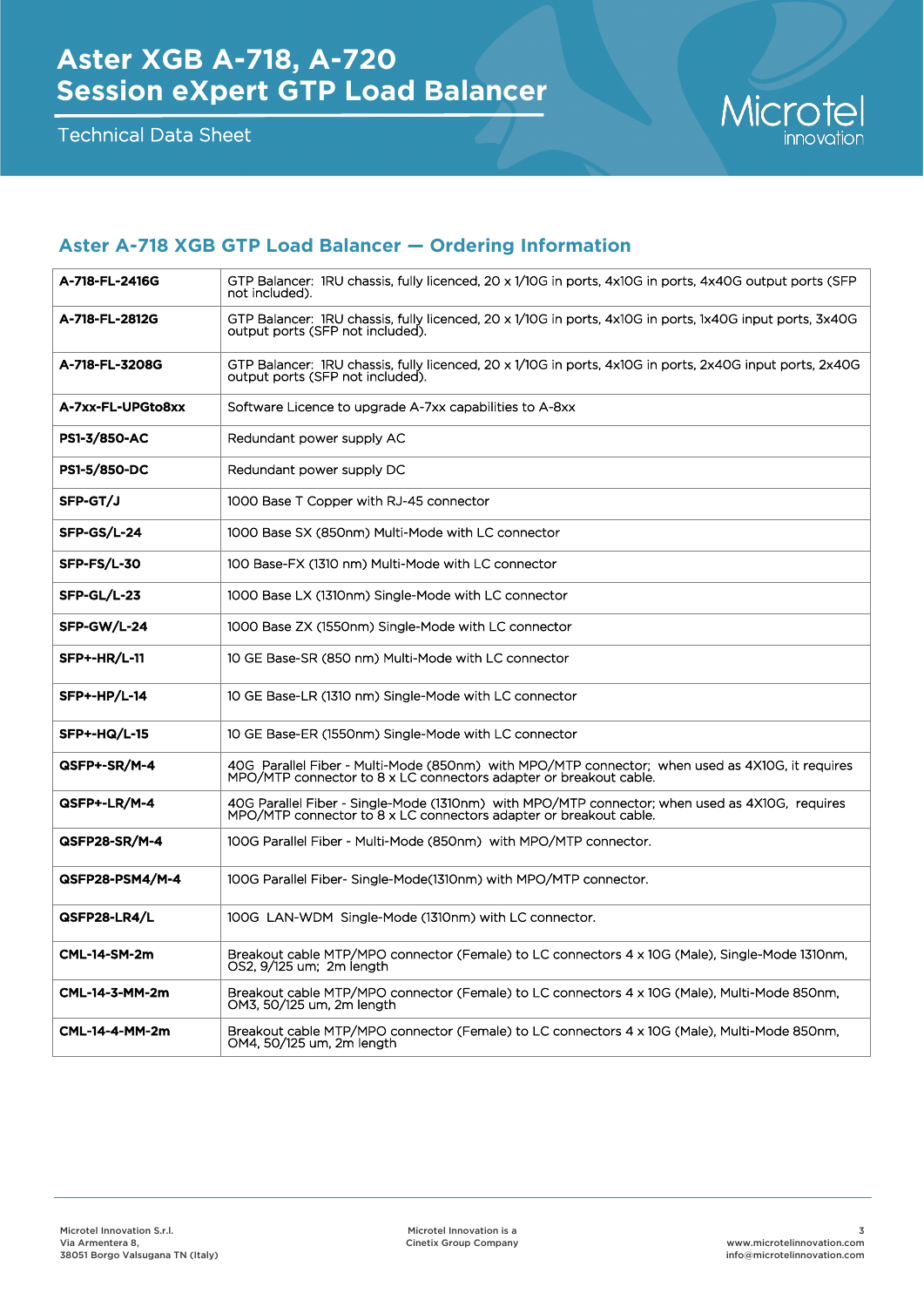Technical Data Sheet



#### **Aster A-718 XGB GTP Load Balancer — Ordering Information**

| A-718-FL-2416G      | GTP Balancer: 1RU chassis, fully licenced, 20 x 1/10G in ports, 4x10G in ports, 4x40G output ports (SFP<br>not included).                                            |  |  |
|---------------------|----------------------------------------------------------------------------------------------------------------------------------------------------------------------|--|--|
| A-718-FL-2812G      | GTP Balancer: 1RU chassis, fully licenced, 20 x 1/10G in ports, 4x10G in ports, 1x40G input ports, 3x40G<br>output ports (SFP not included).                         |  |  |
| A-718-FL-3208G      | GTP Balancer: 1RU chassis, fully licenced, 20 x 1/10G in ports, 4x10G in ports, 2x40G input ports, 2x40G<br>output ports (SFP not included).                         |  |  |
| A-7xx-FL-UPGto8xx   | Software Licence to upgrade A-7xx capabilities to A-8xx                                                                                                              |  |  |
| <b>PS1-3/850-AC</b> | Redundant power supply AC                                                                                                                                            |  |  |
| <b>PS1-5/850-DC</b> | Redundant power supply DC                                                                                                                                            |  |  |
| SFP-GT/J            | 1000 Base T Copper with RJ-45 connector                                                                                                                              |  |  |
| SFP-GS/L-24         | 1000 Base SX (850nm) Multi-Mode with LC connector                                                                                                                    |  |  |
| SFP-FS/L-30         | 100 Base-FX (1310 nm) Multi-Mode with LC connector                                                                                                                   |  |  |
| SFP-GL/L-23         | 1000 Base LX (1310nm) Single-Mode with LC connector                                                                                                                  |  |  |
| SFP-GW/L-24         | 1000 Base ZX (1550nm) Single-Mode with LC connector                                                                                                                  |  |  |
| <b>SFP+-HR/L-11</b> | 10 GE Base-SR (850 nm) Multi-Mode with LC connector                                                                                                                  |  |  |
| <b>SFP+-HP/L-14</b> | 10 GE Base-LR (1310 nm) Single-Mode with LC connector                                                                                                                |  |  |
| <b>SFP+-HQ/L-15</b> | 10 GE Base-ER (1550nm) Single-Mode with LC connector                                                                                                                 |  |  |
| QSFP+-SR/M-4        | 40G Parallel Fiber - Multi-Mode (850nm) with MPO/MTP connector; when used as 4X10G, it requires<br>MPO/MTP connector to 8 x LC connectors adapter or breakout cable. |  |  |
| QSFP+-LR/M-4        | 40G Parallel Fiber - Single-Mode (1310nm) with MPO/MTP connector; when used as 4X10G, requires<br>MPO/MTP connector to 8 x LC connectors adapter or breakout cable.  |  |  |
| QSFP28-SR/M-4       | 100G Parallel Fiber - Multi-Mode (850nm) with MPO/MTP connector.                                                                                                     |  |  |
| QSFP28-PSM4/M-4     | 100G Parallel Fiber- Single-Mode(1310nm) with MPO/MTP connector.                                                                                                     |  |  |
| QSFP28-LR4/L        | 100G LAN-WDM Single-Mode (1310nm) with LC connector.                                                                                                                 |  |  |
| <b>CML-14-SM-2m</b> | Breakout cable MTP/MPO connector (Female) to LC connectors 4 x 10G (Male), Single-Mode 1310nm,<br>OS2, 9/125 um; 2m length                                           |  |  |
| CML-14-3-MM-2m      | Breakout cable MTP/MPO connector (Female) to LC connectors 4 x 10G (Male), Multi-Mode 850nm,<br>OM3, 50/125 um, 2m length                                            |  |  |
| CML-14-4-MM-2m      | Breakout cable MTP/MPO connector (Female) to LC connectors 4 x 10G (Male), Multi-Mode 850nm,<br>OM4, 50/125 um, 2m length                                            |  |  |